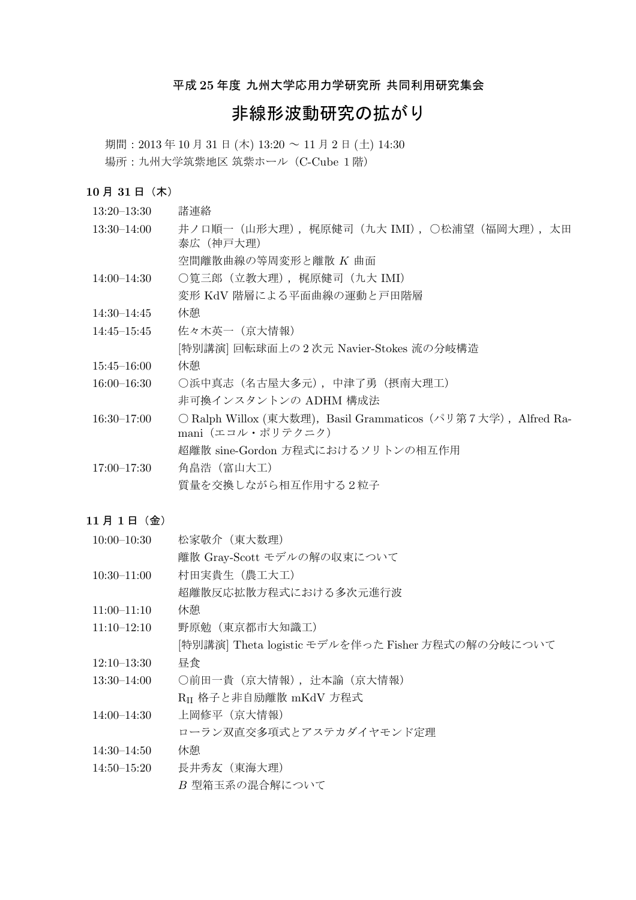# 平成 25 年度 九州大学応用力学研究所 共同利用研究集会

# 非線形波動研究の拡がり

期間: 2013年10月31日(木) 13:20 ~ 11月2日(土) 14:30 場所: 九州大学筑紫地区筑紫ホール (C-Cube 1階)

# $10$ 月 $31$ 日 $($ 木 $)$

| $13:20 - 13:30$ | 諸連絡                                                                                |
|-----------------|------------------------------------------------------------------------------------|
| $13:30 - 14:00$ | 井ノロ順一(山形大理),梶原健司(九大 IMI),○松浦望(福岡大理),太田<br>泰広 (神戸大理)                                |
|                 | 空間離散曲線の等周変形と離散 K 曲面                                                                |
| 14:00–14:30     | ○筧三郎(立教大理),梶原健司(九大 IMI)                                                            |
|                 | 変形 KdV 階層による平面曲線の運動と戸田階層                                                           |
| $14:30 - 14:45$ | 休憩                                                                                 |
| 14:45–15:45     | 佐々木英一 (京大情報)                                                                       |
|                 | [特別講演] 回転球面上の2次元 Navier-Stokes 流の分岐構造                                              |
| $15:45 - 16:00$ | 休憩                                                                                 |
| $16:00 - 16:30$ | ○浜中真志(名古屋大多元),中津了勇(摂南大理工)                                                          |
|                 | 非可換インスタントンの ADHM 構成法                                                               |
| $16:30 - 17:00$ | ○ Ralph Willox (東大数理), Basil Grammaticos (パリ第7大学), Alfred Ra-<br>mani (エコル・ポリテクニク) |
|                 | 超離散 sine-Gordon 方程式におけるソリトンの相互作用                                                   |
| $17:00 - 17:30$ | 角畠浩 (富山大工)                                                                         |
|                 | 質量を交換しながら相互作用する2粒子                                                                 |

# $11$  月  $1$  日 (金)

| $10:00 - 10:30$ | 松家敬介(東大数理)                                        |
|-----------------|---------------------------------------------------|
|                 | 離散 Gray-Scott モデルの解の収束について                        |
| $10:30 - 11:00$ | 村田実貴生 (農工大工)                                      |
|                 | 超離散反応拡散方程式における多次元進行波                              |
| $11:00 - 11:10$ | 休憩                                                |
| $11:10 - 12:10$ | 野原勉 (東京都市大知識工)                                    |
|                 | [特別講演] Theta logistic モデルを伴った Fisher 方程式の解の分岐について |
| $12:10 - 13:30$ | 昼食                                                |
| $13:30 - 14:00$ | ○前田一貴 (京大情報), 辻本諭 (京大情報)                          |
|                 | Ru 格子と非自励離散 mKdV 方程式                              |
| $14:00 - 14:30$ | 上岡修平(京大情報)                                        |
|                 | ローラン双直交多項式とアステカダイヤモンド定理                           |
| 14:30–14:50     | 休憩                                                |
| $14:50 - 15:20$ | 長井秀友(東海大理)                                        |
|                 | B 型箱玉系の混合解について                                    |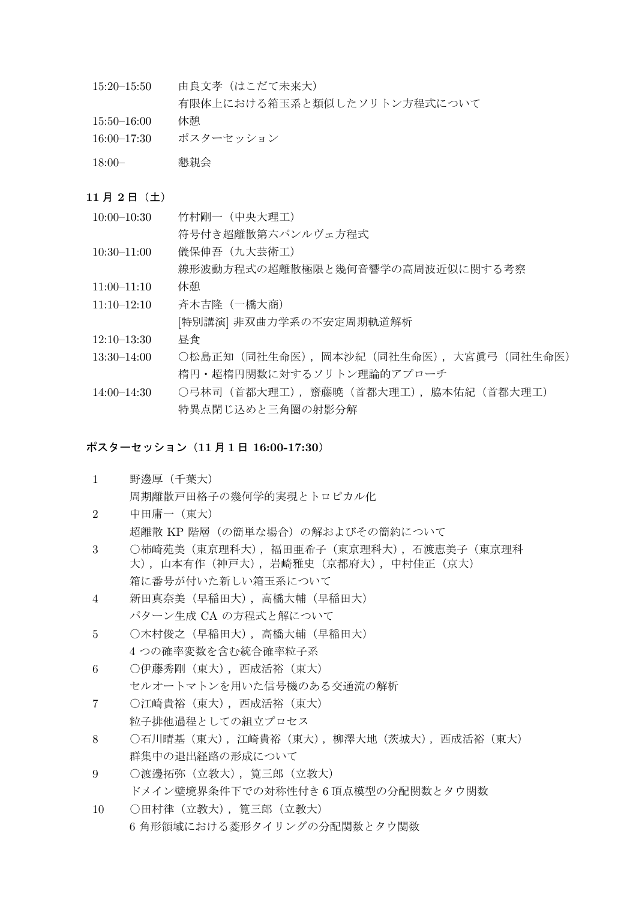- 15:20-15:50 由良文孝 (はこだて未来大) 有限体上における箱玉系と類似したソリトン方程式について
- 15:50-16:00 休憩
- 16:00-17:30 ポスターセッション
- 18:00– ࠙ձ

# $11$  月  $2$  日 $($ 土)

- $10:00-10:30$  竹村剛一 (中央大理工)
	- 符号付き紹離散第六パンルヴェ方程式
- $10:30-11:00$  儀保伸吾  $(\text{h} \times \text{m})$ 
	- 線形波動方程式の超離散極限と幾何音響学の高周波近似に関する考察
- 11:00-11:10 休憩
- 11:10-12:10 斉木吉隆 (一橋大商) [特別講演] 非双曲力学系の不安定周期軌道解析
- $12:10-13:30$  昼食
- 13:30-14:00 ○松島正知(同社生命医),岡本沙紀(同社生命医)、大宮眞弓(同社生命医) 楕円・超楕円関数に対するソリトン理論的アプローチ
- 14:00-14:30 ○弓林司 (首都大理工), 齋藤暁 (首都大理工), 脇本佑紀 (首都大理工) 特異点閉じ込めと三角圏の射影分解

# ポスターセッション (11 月 1 日 16:00-17:30)

- 1 野邊厚 (千葉大) 周期離散戸田格子の幾何学的実現とトロピカル化
- $2$  中田庸一 (東大) 超離散 KP 階層 (の簡単な場合)の解およびその簡約について
- 3 ○柿崎茄美(東京理科大). 福田亜希子(東京理科大). 石渡恵美子(東京理科 大),山本有作(神戸大),岩崎雅史(京都府大),中村佳正(京大) 箱に番号が付いた新しい箱玉系について
- 4 新田真奈美 (早稲田大), 高橋大輔 (早稲田大) パターン生成 CA の方程式と解について
- 5 ○木村俊之 (早稲田大), 高橋大輔 (早稲田大) 4 つの確率変数を含む統合確率粒子系
- 6 ○伊藤秀剛 (東大), 西成活裕 (東大) セルオートマトンを用いた信号機のある交通流の解析
- 7 ○江崎貴裕 (東大), 西成活裕 (東大) 粒子排他過程としての組立プロセス
- 8 〇石川晴基(東大),江崎貴裕(東大),柳澤大地(茨城大),西成活裕(東大) 群集中の退出経路の形成について
- 9 ○渡邊拓弥 (立教大), 筧三郎 (立教大) ドメイン壁境界条件下での対称性付き6頂点模型の分配関数とタウ関数
- 10 ○田村律 (立教大), 筧三郎 (立教大) 6 角形領域における菱形タイリングの分配関数とタウ関数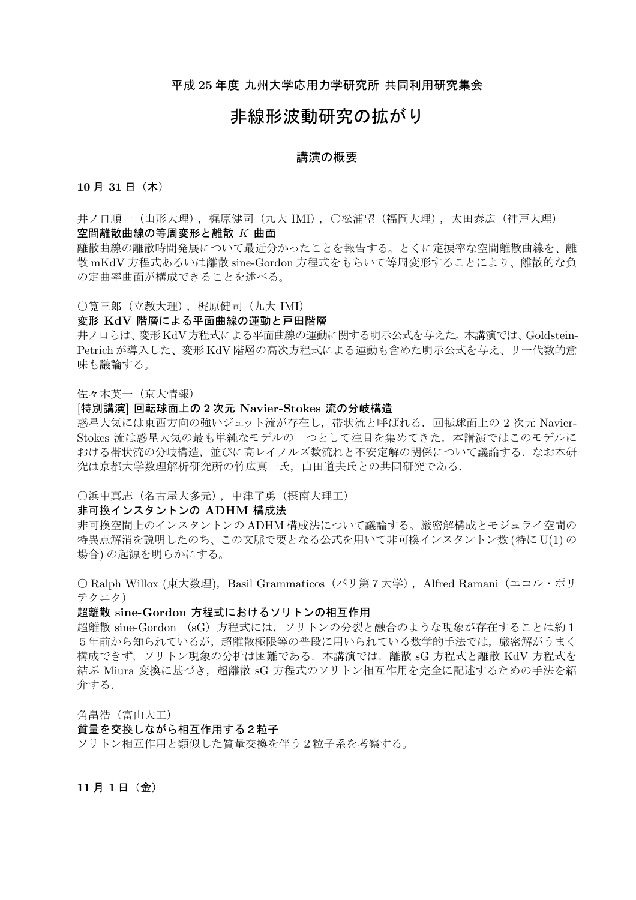# 平成 25 年度 九州大学応用力学研究所 共同利用研究集会

# 非線形波動研究の拡がり

#### 講演の概要

# $10 \text{ H } 31 \text{ H } (\text{t})$

井ノ口順一(山形大理).梶原健司(九大 IMI).〇松浦望(福岡大理).太田泰広(神戸大理) 空間離散曲線の等周変形と離散 K 曲面

離散曲線の離散時間発展について最近分かったことを報告する。とくに定捩率な空間離散曲線を、離 散 mKdV 方程式あるいは離散 sine-Gordon 方程式をもちいて等周変形することにより、離散的な負 の定曲率曲面が構成できることを述べる。

○筧三郎 (立教大理), 梶原健司 (九大 IMI)

#### 変形 KdV 階層による平面曲線の運動と戸田階層

井ノ口らは、変形KdV方程式による平面曲線の運動に関する明示公式を与えた。本講演では、Goldstein-Petrich が導入した、変形 KdV 階層の高次方程式による運動も含めた明示公式を与え、リー代数的意 味も議論する。

佐々木英一 (京大情報)

# [特別講演] 回転球面上の2次元 Navier-Stokes 流の分岐構造

惑星大気には東西方向の強いジェット流が存在し、帯状流と呼ばれる. 回転球面上の 2 次元 Navier-Stokes 流は惑星大気の最も単純なモデルの一つとして注目を集めてきた. 本講演ではこのモデルに おける帯状流の分岐構造、並びに高レイノルズ数流れと不安定解の関係について議論する。なお本研 究は京都大学数理解析研究所の竹広真一氏, 山田道夫氏との共同研究である.

#### ○浜中真志 (名古屋大多元), 中津了勇 (摂南大理工)

# 非可換インスタントンの ADHM 構成法

非可換空間トのインスタントンの ADHM 構成法について議論する。厳密解構成とモジュライ空間の 特異点解消を説明したのち、この文脈で要となる公式を用いて非可換インスタントン数(特にU(1)の 場合)の起源を明らかにする。

○ Ralph Willox (東大数理), Basil Grammaticos (パリ第7大学), Alfred Ramani (エコル・ポリ テクニク)

#### 超離散 sine-Gordon 方程式におけるソリトンの相互作用

超離散 sine-Gordon (sG) 方程式には、ソリトンの分裂と融合のような現象が存在することは約1 5年前から知られているが、超離散極限等の普段に用いられている数学的手法では、厳密解がうまく 構成できず,ソリトン現象の分析は困難である.本講演では,離散 sG 方程式と離散 KdV 方程式を 結ぶ Miura 変換に基づき、超離散 sG 方程式のソリトン相互作用を完全に記述するための手法を紹 介する.

角畠浩 (富山大工) **質量を交換しながら相互作用する2粒子** ソリトン相互作用と類似した質量交換を伴う2粒子系を考察する。

 $11$  月  $1$  日  $($  金 $)$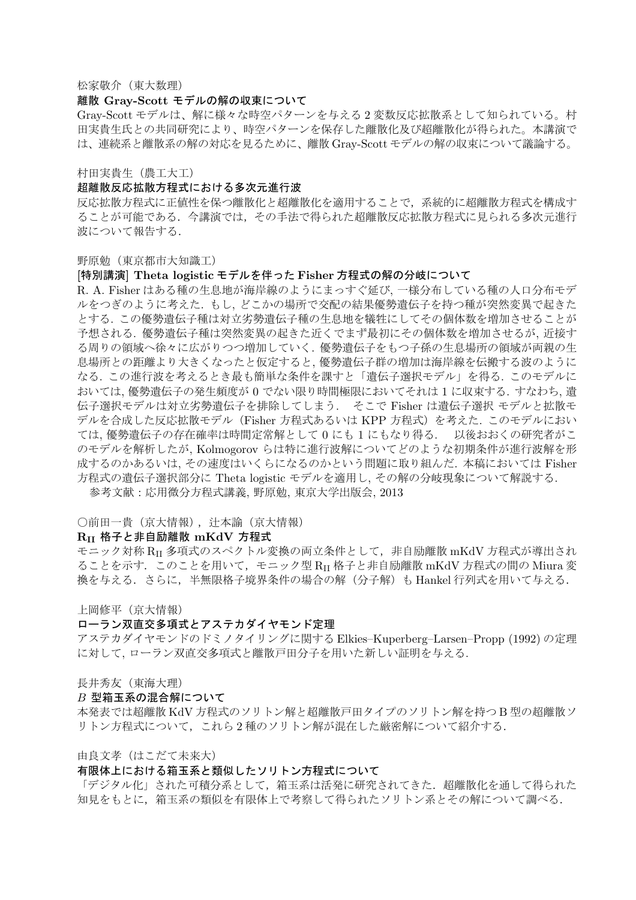松家敬介 (東大数理)

### 離散 Gray-Scott モデルの解の収束について

Grav-Scott モデルは、解に様々な時空パターンを与える2変数反応拡散系として知られている。村 田実貴生氏との共同研究により、時空パターンを保存した離散化及び超離散化が得られた。本講演で は、連続系と離散系の解の対応を見るために、離散 Gray-Scott モデルの解の収束について議論する。

村田実貴生 (農工大工)

# 超離散反応拡散方程式における多次元進行波

反応拡散方程式に正値性を保つ離散化と超離散化を適用することで、系統的に超離散方程式を構成す ることが可能である.今講演では、その手法で得られた超離散反応拡散方程式に見られる多次元進行 波について報告する。

野原勉 (東京都市大知識工)

# [特別講演] Theta logistic モデルを伴った Fisher 方程式の解の分岐について

R. A. Fisher はある種の生息地が海岸線のようにまっすぐ延び、一様分布している種の人口分布モデ ルをつぎのように考えた. もし、どこかの場所で交配の結果優勢遺伝子を持つ種が突然変異で起きた とする. この優勢遺伝子種は対立劣勢遺伝子種の生息地を犠牲にしてその個体数を増加させることが 予想される。優勢遺伝子種は突然変異の起きた近くでまず最初にその個体数を増加させるが、近接す る周りの領域へ徐々に広がりつつ増加していく、優勢潰伝子をもつ子孫の生息場所の領域が両親の生 息場所との距離より大きくなったと仮定すると、優勢遺伝子群の増加は海岸線を伝搬する波のように なる. この進行波を考えるとき最も簡単な条件を課すと「潰伝子選択モデル」を得る. このモデルに おいては、優勢遺伝子の発生頻度が0でない限り時間極限においてそれは1に収束する. すなわち、遺 伝子選択モデルは対立劣勢遺伝子を排除してしまう. そこで Fisher は潰伝子選択 モデルと拡散モ デルを合成した反応拡散モデル (Fisher 方程式あるいは KPP 方程式) を考えた. このモデルにおい ては, 優勢潰伝子の存在確率は時間定常解として 0 にも 1 にもなり得る. - 以後おおくの研究者がこ のモデルを解析したが、Kolmogorov らは特に進行波解についてどのような初期条件が進行波解を形 成するのかあるいは、その速度はいくらになるのかという問題に取り組んだ. 本稿においては Fisher 方程式の遺伝子選択部分に Theta logistic モデルを適用し、その解の分岐現象について解説する. 参考文献: 応用微分方程式講義, 野原勉, 東京大学出版会, 2013

#### ○前田一貴 (京大情報), 辻本諭 (京大情報)

#### $R_{II}$  格子と非自励離散 mKdV 方程式

 $\tau \leq \tau \leq \tau$  \* RII 多項式のスペクトル変換の両立条件として、非自励離散 mKdV 方程式が導出され ることを示す. このことを用いて、モニック型 RI 格子と非自励離散 mKdV 方程式の間の Miura 変 換を与える. さらに、半無限格子境界条件の場合の解(分子解)も Hankel 行列式を用いて与える.

上岡修平 (京大情報)

#### ローラン双直交多項式とアステカダイヤモンド定理

アステカダイヤモンドのドミノタイリングに関する Elkies–Kuperberg–Larsen–Propp (1992) の定理 に対して、ローラン双直交多項式と離散戸田分子を用いた新しい証明を与える.

#### 長井秀友 (東海大理)

#### $B$  型箱玉系の混合解について

本発表では超離散 KdV 方程式のソリトン解と超離散戸田タイプのソリトン解を持つB 型の超離散ソ リトン方程式について、これら2種のソリトン解が混在した厳密解について紹介する.

由良文孝(はこだて未来大)

#### 有限体上における箱玉系と類似したソリトン方程式について

「デジタル化」された可積分系として,箱玉系は活発に研究されてきた.超離散化を通して得られた 知見をもとに、箱玉系の類似を有限体上で考察して得られたソリトン系とその解について調べる.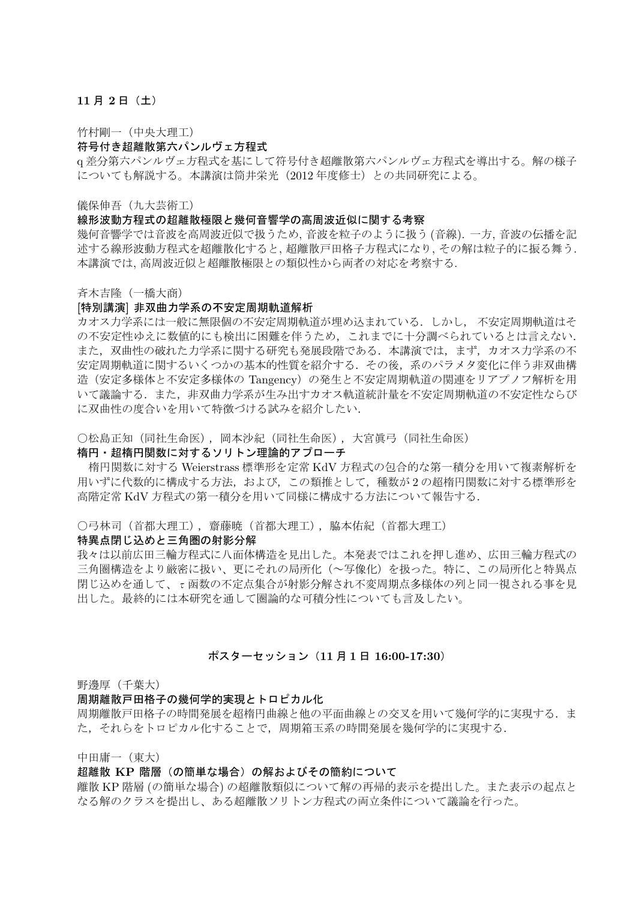# $11$  月  $2$  日 (土)

竹村剛一 (中央大理工)

#### 符号付き超離散第六パンルヴェ方程式

α差分第六パンルヴェ方程式を基にして符号付き超離散第六パンルヴェ方程式を導出する。解の様子 についても解説する。本講演は筒井栄光 (2012年度修士) との共同研究による。

儀保伸吾 (九大芸術工)

#### 線形波動方程式の超離散極限と幾何音響学の高周波近似に関する考察

幾何音響学では音波を高周波近似で扱うため、音波を粒子のように扱う (音線). 一方、音波の伝播を記 述する線形波動方程式を超離散化すると、超離散戸田格子方程式になり、その解は粒子的に振る舞う. 本講演では、高周波近似と超離散極限との類似性から両者の対応を考察する.

#### 斉木吉隆 (一橋大商)

#### [特別講演] 非双曲力学系の不安定周期軌道解析

カオス力学系には一般に無限個の不安定周期軌道が埋め込まれている。 しかし、 不安定周期軌道はそ の不安定性ゆえに数値的にも検出に困難を伴うため、これまでに十分調べられているとは言えない. また.双曲性の破れた力学系に関する研究も発展段階である.本講演では.まず.カオス力学系の不 安定周期軌道に関するいくつかの基本的性質を紹介する。 その後、系のパラメタ変化に伴う非双曲構 造(安定多様体と不安定多様体の Tangency)の発生と不安定周期軌道の関連をリアプノフ解析を用 いて議論する。また、非双曲力学系が生み出すカオス軌道統計量を不安定周期軌道の不安定性ならび に双曲性の度合いを用いて特徴づける試みを紹介したい.

○松島正知 (同社生命医), 岡本沙紀 (同社生命医), 大宮眞弓 (同社生命医)

#### 楕円・超楕円関数に対するソリトン理論的アプローチ

楕円関数に対する Weierstrass 標準形を定常 KdV 方程式の包合的な第一積分を用いて複素解析を 用いずに代数的に構成する方法、および、この類推として、種数が2の超楕円関数に対する標準形を 高階定常 KdV 方程式の第一積分を用いて同様に構成する方法について報告する.

# ○弓林司 (首都大理工), 齋藤暁 (首都大理工), 脇本佑紀 (首都大理工)

#### 特異点閉じ込めと三角圏の射影分解

我々は以前広田三輪方程式に八面体構造を見出した。本発表ではこれを押し進め、広田三輪方程式の 三角圏構造をより厳密に扱い、更にそれの局所化(~写像化)を扱った。特に、この局所化と特異点 閉じ込めを通して、τ函数の不定点集合が射影分解され不変周期点多様体の列と同一視される事を見 出した。最終的には本研究を通して圏論的な可積分性についても言及したい。

#### ポスターセッション (11 月 1 日 16:00-17:30)

#### 野邊厚 (千葉大)

#### 周期離散戸田格子の幾何学的実現とトロピカル化

周期離散戸田格子の時間発展を超楕円曲線と他の平面曲線との交叉を用いて幾何学的に実現する.ま た、それらをトロピカル化することで、周期箱玉系の時間発展を幾何学的に実現する.

中田庸一 (東大)

#### 超離散 KP 階層 (の簡単な場合) の解およびその簡約について

離散 KP 階層 (の簡単な場合) の超離散類似について解の再帰的表示を提出した。また表示の起点と なる解のクラスを提出し、ある超離散ソリトン方程式の両立条件について議論を行った。